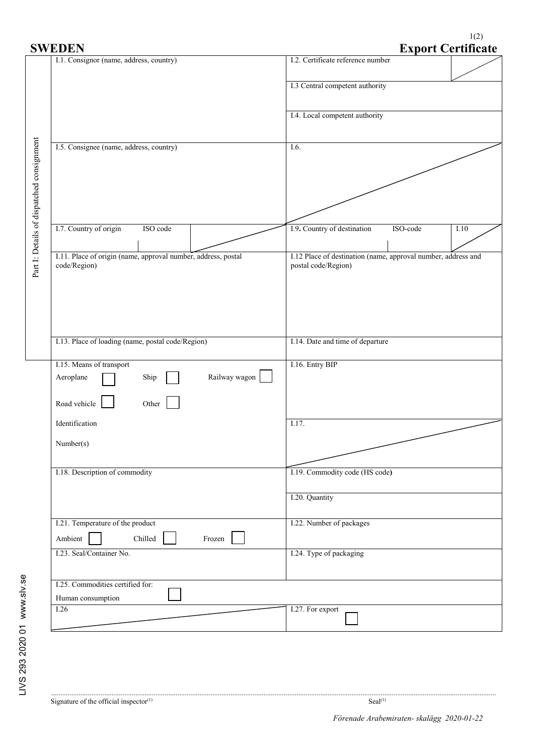$1(2)$ 

| <b>SWEDEN</b>                                          |                                                               |                                         | <b>Export Certificate</b>                                                            |  |  |
|--------------------------------------------------------|---------------------------------------------------------------|-----------------------------------------|--------------------------------------------------------------------------------------|--|--|
| I.1. Consignor (name, address, country)                |                                                               | I.2. Certificate reference number       |                                                                                      |  |  |
|                                                        |                                                               | I.3 Central competent authority         |                                                                                      |  |  |
|                                                        |                                                               | I.4. Local competent authority          |                                                                                      |  |  |
| I.5. Consignee (name, address, country)                |                                                               |                                         |                                                                                      |  |  |
| Part I: Details of dispatched consignment              |                                                               |                                         |                                                                                      |  |  |
|                                                        |                                                               |                                         |                                                                                      |  |  |
| I.7. Country of origin<br>ISO code                     |                                                               | I.9. Country of destination<br>ISO-code | I.10                                                                                 |  |  |
| code/Region)                                           | I.11. Place of origin (name, approval number, address, postal |                                         | I.12 Place of destination (name, approval number, address and<br>postal code/Region) |  |  |
|                                                        |                                                               |                                         |                                                                                      |  |  |
|                                                        |                                                               |                                         |                                                                                      |  |  |
| I.13. Place of loading (name, postal code/Region)      |                                                               | I.14. Date and time of departure        |                                                                                      |  |  |
| I.15. Means of transport<br>Aeroplane<br>Ship          | Railway wagon                                                 | I.16. Entry BIP                         |                                                                                      |  |  |
| Road vehicle<br>Other                                  |                                                               | I.17.                                   |                                                                                      |  |  |
| Number(s)                                              | Identification                                                |                                         |                                                                                      |  |  |
|                                                        |                                                               |                                         |                                                                                      |  |  |
| I.18. Description of commodity                         |                                                               |                                         |                                                                                      |  |  |
|                                                        |                                                               | I.20. Quantity                          |                                                                                      |  |  |
| I.21. Temperature of the product<br>Ambient<br>Chilled | Frozen                                                        | I.22. Number of packages                |                                                                                      |  |  |
| I.23. Seal/Container No.                               |                                                               | I.24. Type of packaging                 |                                                                                      |  |  |
| I.25. Commodities certified for:<br>Human consumption  |                                                               |                                         |                                                                                      |  |  |
| 1.26                                                   |                                                               | I.27. For export                        |                                                                                      |  |  |
|                                                        |                                                               |                                         |                                                                                      |  |  |